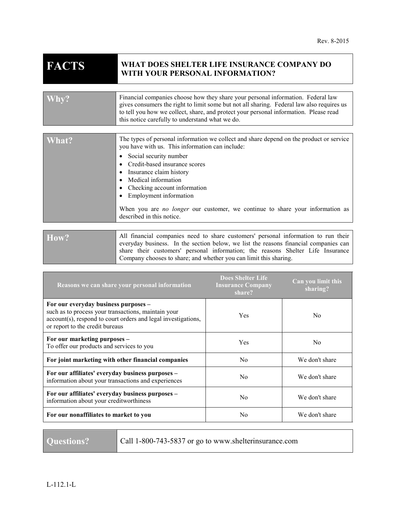# **FACTS WHAT DOES SHELTER LIFE INSURANCE COMPANY DO WITH YOUR PERSONAL INFORMATION?**

|       | Financial companies choose how they share your personal information. Federal law<br>gives consumers the right to limit some but not all sharing. Federal law also requires us<br>to tell you how we collect, share, and protect your personal information. Please read<br>this notice carefully to understand what we do.                                                                                                              |
|-------|----------------------------------------------------------------------------------------------------------------------------------------------------------------------------------------------------------------------------------------------------------------------------------------------------------------------------------------------------------------------------------------------------------------------------------------|
|       |                                                                                                                                                                                                                                                                                                                                                                                                                                        |
| What? | The types of personal information we collect and share depend on the product or service<br>you have with us. This information can include:<br>Social security number<br>Credit-based insurance scores<br>Insurance claim history<br>Medical information<br>Checking account information<br>Employment information<br>When you are <i>no longer</i> our customer, we continue to share your information as<br>described in this notice. |

How? All financial companies need to share customers' personal information to run their everyday business. In the section below, we list the reasons financial companies can share their customers' personal information; the reasons Shelter Life Insurance Company chooses to share; and whether you can limit this sharing.

| Reasons we can share your personal information                                                                                                                                                  | <b>Does Shelter Life</b><br><b>Insurance Company</b><br>share? | Can you limit this<br>sharing? |
|-------------------------------------------------------------------------------------------------------------------------------------------------------------------------------------------------|----------------------------------------------------------------|--------------------------------|
| For our everyday business purposes -<br>such as to process your transactions, maintain your<br>account(s), respond to court orders and legal investigations,<br>or report to the credit bureaus | Yes                                                            | N <sub>0</sub>                 |
| For our marketing purposes -<br>To offer our products and services to you                                                                                                                       | Yes                                                            | N <sub>0</sub>                 |
| For joint marketing with other financial companies                                                                                                                                              | N <sub>0</sub>                                                 | We don't share                 |
| For our affiliates' everyday business purposes -<br>information about your transactions and experiences                                                                                         | N <sub>0</sub>                                                 | We don't share                 |
| For our affiliates' everyday business purposes -<br>information about your creditworthiness                                                                                                     | N <sub>0</sub>                                                 | We don't share                 |
| For our nonaffiliates to market to you                                                                                                                                                          | N <sub>0</sub>                                                 | We don't share                 |

Questions? **Call 1-800-743-5837** or go to www.shelterinsurance.com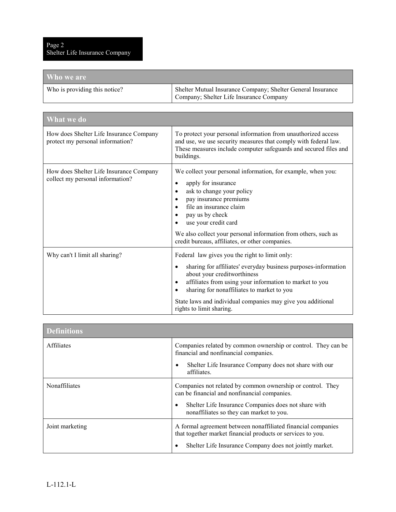| Who we are                    |                                                                                                        |
|-------------------------------|--------------------------------------------------------------------------------------------------------|
| Who is providing this notice? | Shelter Mutual Insurance Company; Shelter General Insurance<br>Company; Shelter Life Insurance Company |

| <b>What</b> we do                                                           |                                                                                                                                                                                                                                                                                                   |  |
|-----------------------------------------------------------------------------|---------------------------------------------------------------------------------------------------------------------------------------------------------------------------------------------------------------------------------------------------------------------------------------------------|--|
| How does Shelter Life Insurance Company<br>protect my personal information? | To protect your personal information from unauthorized access<br>and use, we use security measures that comply with federal law.<br>These measures include computer safeguards and secured files and<br>buildings.                                                                                |  |
| How does Shelter Life Insurance Company<br>collect my personal information? | We collect your personal information, for example, when you:<br>apply for insurance<br>٠<br>ask to change your policy<br>٠<br>pay insurance premiums<br>٠<br>file an insurance claim<br>pay us by check<br>use your credit card<br>We also collect your personal information from others, such as |  |
| Why can't I limit all sharing?                                              | credit bureaus, affiliates, or other companies.<br>Federal law gives you the right to limit only:                                                                                                                                                                                                 |  |
|                                                                             | sharing for affiliates' everyday business purposes-information<br>$\bullet$<br>about your creditworthiness<br>affiliates from using your information to market to you<br>٠<br>sharing for nonaffiliates to market to you                                                                          |  |
|                                                                             | State laws and individual companies may give you additional<br>rights to limit sharing.                                                                                                                                                                                                           |  |

| <b>Definitions</b> |                                                                                                                                                                                        |  |
|--------------------|----------------------------------------------------------------------------------------------------------------------------------------------------------------------------------------|--|
| Affiliates         | Companies related by common ownership or control. They can be<br>financial and nonfinancial companies.                                                                                 |  |
|                    | Shelter Life Insurance Company does not share with our<br>$\bullet$<br>affiliates.                                                                                                     |  |
| Nonaffiliates      | Companies not related by common ownership or control. They<br>can be financial and nonfinancial companies.                                                                             |  |
|                    | Shelter Life Insurance Companies does not share with<br>٠<br>nonaffiliates so they can market to you.                                                                                  |  |
| Joint marketing    | A formal agreement between nonaffiliated financial companies<br>that together market financial products or services to you.<br>Shelter Life Insurance Company does not jointly market. |  |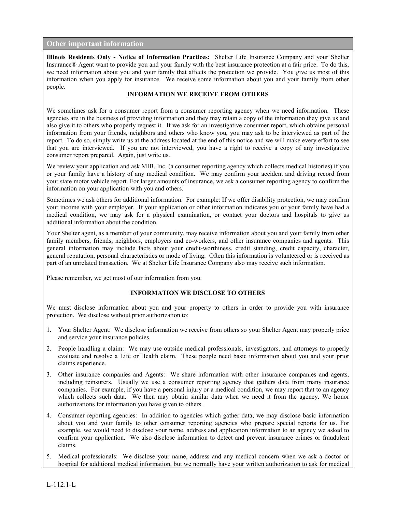## **Other important information**

**Illinois Residents Only - Notice of Information Practices:** Shelter Life Insurance Company and your Shelter Insurance® Agent want to provide you and your family with the best insurance protection at a fair price. To do this, we need information about you and your family that affects the protection we provide. You give us most of this information when you apply for insurance. We receive some information about you and your family from other people.

#### **INFORMATION WE RECEIVE FROM OTHERS**

We sometimes ask for a consumer report from a consumer reporting agency when we need information. These agencies are in the business of providing information and they may retain a copy of the information they give us and also give it to others who properly request it. If we ask for an investigative consumer report, which obtains personal information from your friends, neighbors and others who know you, you may ask to be interviewed as part of the report. To do so, simply write us at the address located at the end of this notice and we will make every effort to see that you are interviewed. If you are not interviewed, you have a right to receive a copy of any investigative consumer report prepared. Again, just write us.

We review your application and ask MIB, Inc. (a consumer reporting agency which collects medical histories) if you or your family have a history of any medical condition. We may confirm your accident and driving record from your state motor vehicle report. For larger amounts of insurance, we ask a consumer reporting agency to confirm the information on your application with you and others.

Sometimes we ask others for additional information. For example: If we offer disability protection, we may confirm your income with your employer. If your application or other information indicates you or your family have had a medical condition, we may ask for a physical examination, or contact your doctors and hospitals to give us additional information about the condition.

Your Shelter agent, as a member of your community, may receive information about you and your family from other family members, friends, neighbors, employers and co-workers, and other insurance companies and agents. This general information may include facts about your credit-worthiness, credit standing, credit capacity, character, general reputation, personal characteristics or mode of living. Often this information is volunteered or is received as part of an unrelated transaction. We at Shelter Life Insurance Company also may receive such information.

Please remember, we get most of our information from you.

### **INFORMATION WE DISCLOSE TO OTHERS**

We must disclose information about you and your property to others in order to provide you with insurance protection. We disclose without prior authorization to:

- 1. Your Shelter Agent: We disclose information we receive from others so your Shelter Agent may properly price and service your insurance policies.
- 2. People handling a claim: We may use outside medical professionals, investigators, and attorneys to properly evaluate and resolve a Life or Health claim. These people need basic information about you and your prior claims experience.
- 3. Other insurance companies and Agents: We share information with other insurance companies and agents, including reinsurers. Usually we use a consumer reporting agency that gathers data from many insurance companies. For example, if you have a personal injury or a medical condition, we may report that to an agency which collects such data. We then may obtain similar data when we need it from the agency. We honor authorizations for information you have given to others.
- 4. Consumer reporting agencies: In addition to agencies which gather data, we may disclose basic information about you and your family to other consumer reporting agencies who prepare special reports for us. For example, we would need to disclose your name, address and application information to an agency we asked to confirm your application. We also disclose information to detect and prevent insurance crimes or fraudulent claims.
- 5. Medical professionals: We disclose your name, address and any medical concern when we ask a doctor or hospital for additional medical information, but we normally have your written authorization to ask for medical

L-112.1-L